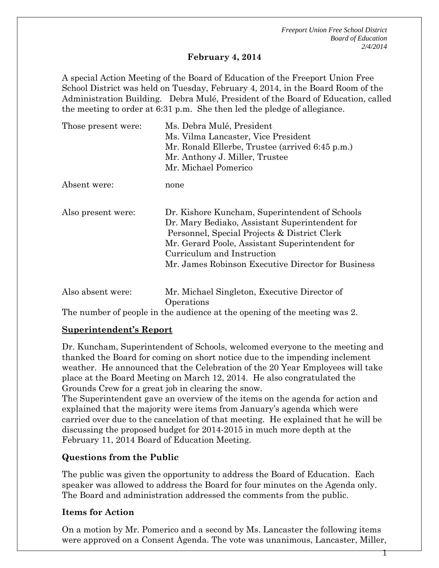*Freeport Union Free School District Board of Education 2/4/2014*

 $\mathsf T$ 

#### **February 4, 2014**

A special Action Meeting of the Board of Education of the Freeport Union Free School District was held on Tuesday, February 4, 2014, in the Board Room of the Administration Building. Debra Mulé, President of the Board of Education, called the meeting to order at 6:31 p.m. She then led the pledge of allegiance.

| Those present were: | Ms. Debra Mulé, President<br>Ms. Vilma Lancaster, Vice President<br>Mr. Ronald Ellerbe, Trustee (arrived 6:45 p.m.)<br>Mr. Anthony J. Miller, Trustee<br>Mr. Michael Pomerico                                                                                                          |
|---------------------|----------------------------------------------------------------------------------------------------------------------------------------------------------------------------------------------------------------------------------------------------------------------------------------|
| Absent were:        | none                                                                                                                                                                                                                                                                                   |
| Also present were:  | Dr. Kishore Kuncham, Superintendent of Schools<br>Dr. Mary Bediako, Assistant Superintendent for<br>Personnel, Special Projects & District Clerk<br>Mr. Gerard Poole, Assistant Superintendent for<br>Curriculum and Instruction<br>Mr. James Robinson Executive Director for Business |
| Also absent were:   | Mr. Michael Singleton, Executive Director of<br>Operations                                                                                                                                                                                                                             |

The number of people in the audience at the opening of the meeting was 2.

#### **Superintendent's Report**

Dr. Kuncham, Superintendent of Schools, welcomed everyone to the meeting and thanked the Board for coming on short notice due to the impending inclement weather. He announced that the Celebration of the 20 Year Employees will take place at the Board Meeting on March 12, 2014. He also congratulated the Grounds Crew for a great job in clearing the snow.

The Superintendent gave an overview of the items on the agenda for action and explained that the majority were items from January's agenda which were carried over due to the cancelation of that meeting. He explained that he will be discussing the proposed budget for 2014-2015 in much more depth at the February 11, 2014 Board of Education Meeting.

#### **Questions from the Public**

The public was given the opportunity to address the Board of Education. Each speaker was allowed to address the Board for four minutes on the Agenda only. The Board and administration addressed the comments from the public.

#### **Items for Action**

On a motion by Mr. Pomerico and a second by Ms. Lancaster the following items were approved on a Consent Agenda. The vote was unanimous, Lancaster, Miller,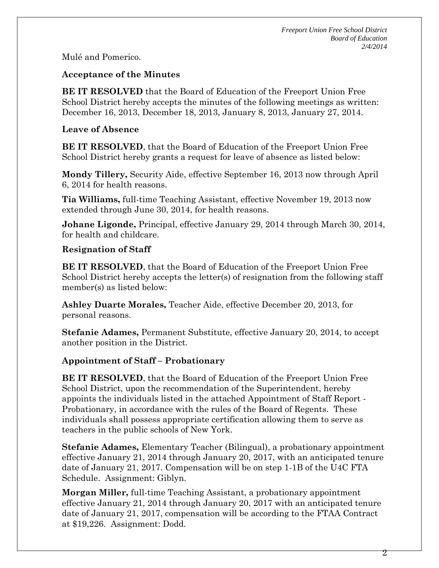Mulé and Pomerico.

### **Acceptance of the Minutes**

**BE IT RESOLVED** that the Board of Education of the Freeport Union Free School District hereby accepts the minutes of the following meetings as written: December 16, 2013, December 18, 2013, January 8, 2013, January 27, 2014.

### **Leave of Absence**

**BE IT RESOLVED**, that the Board of Education of the Freeport Union Free School District hereby grants a request for leave of absence as listed below:

**Mondy Tillery,** Security Aide, effective September 16, 2013 now through April 6, 2014 for health reasons.

**Tia Williams,** full-time Teaching Assistant, effective November 19, 2013 now extended through June 30, 2014, for health reasons.

**Johane Ligonde,** Principal, effective January 29, 2014 through March 30, 2014, for health and childcare.

### **Resignation of Staff**

**BE IT RESOLVED**, that the Board of Education of the Freeport Union Free School District hereby accepts the letter(s) of resignation from the following staff member(s) as listed below:

**Ashley Duarte Morales,** Teacher Aide, effective December 20, 2013, for personal reasons.

**Stefanie Adames,** Permanent Substitute, effective January 20, 2014, to accept another position in the District.

# **Appointment of Staff – Probationary**

**BE IT RESOLVED**, that the Board of Education of the Freeport Union Free School District, upon the recommendation of the Superintendent, hereby appoints the individuals listed in the attached Appointment of Staff Report - Probationary, in accordance with the rules of the Board of Regents. These individuals shall possess appropriate certification allowing them to serve as teachers in the public schools of New York.

**Stefanie Adames,** Elementary Teacher (Bilingual), a probationary appointment effective January 21, 2014 through January 20, 2017, with an anticipated tenure date of January 21, 2017. Compensation will be on step 1-1B of the U4C FTA Schedule. Assignment: Giblyn.

**Morgan Miller,** full-time Teaching Assistant, a probationary appointment effective January 21, 2014 through January 20, 2017 with an anticipated tenure date of January 21, 2017, compensation will be according to the FTAA Contract at \$19,226. Assignment: Dodd.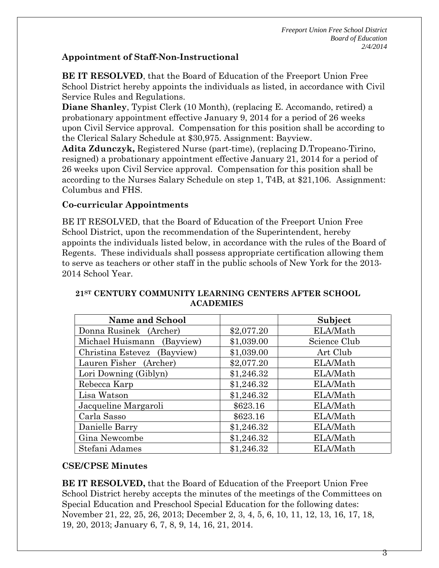### **Appointment of Staff-Non-Instructional**

**BE IT RESOLVED**, that the Board of Education of the Freeport Union Free School District hereby appoints the individuals as listed, in accordance with Civil Service Rules and Regulations.

**Diane Shanley**, Typist Clerk (10 Month), (replacing E. Accomando, retired) a probationary appointment effective January 9, 2014 for a period of 26 weeks upon Civil Service approval. Compensation for this position shall be according to the Clerical Salary Schedule at \$30,975. Assignment: Bayview.

**Adita Zdunczyk,** Registered Nurse (part-time), (replacing D.Tropeano-Tirino, resigned) a probationary appointment effective January 21, 2014 for a period of 26 weeks upon Civil Service approval. Compensation for this position shall be according to the Nurses Salary Schedule on step 1, T4B, at \$21,106. Assignment: Columbus and FHS.

# **Co-curricular Appointments**

BE IT RESOLVED, that the Board of Education of the Freeport Union Free School District, upon the recommendation of the Superintendent, hereby appoints the individuals listed below, in accordance with the rules of the Board of Regents. These individuals shall possess appropriate certification allowing them to serve as teachers or other staff in the public schools of New York for the 2013- 2014 School Year.

| <b>Name and School</b>      |            | Subject      |
|-----------------------------|------------|--------------|
| Donna Rusinek (Archer)      | \$2,077.20 | ELA/Math     |
| Michael Huismann (Bayview)  | \$1,039.00 | Science Club |
| Christina Estevez (Bayview) | \$1,039.00 | Art Club     |
| Lauren Fisher (Archer)      | \$2,077.20 | ELA/Math     |
| Lori Downing (Giblyn)       | \$1,246.32 | ELA/Math     |
| Rebecca Karp                | \$1,246.32 | ELA/Math     |
| Lisa Watson                 | \$1,246.32 | ELA/Math     |
| Jacqueline Margaroli        | \$623.16   | ELA/Math     |
| Carla Sasso                 | \$623.16   | ELA/Math     |
| Danielle Barry              | \$1,246.32 | ELA/Math     |
| Gina Newcombe               | \$1,246.32 | ELA/Math     |
| Stefani Adames              | \$1,246.32 | ELA/Math     |

#### **21ST CENTURY COMMUNITY LEARNING CENTERS AFTER SCHOOL ACADEMIES**

# **CSE/CPSE Minutes**

**BE IT RESOLVED,** that the Board of Education of the Freeport Union Free School District hereby accepts the minutes of the meetings of the Committees on Special Education and Preschool Special Education for the following dates: November 21, 22, 25, 26, 2013; December 2, 3, 4, 5, 6, 10, 11, 12, 13, 16, 17, 18, 19, 20, 2013; January 6, 7, 8, 9, 14, 16, 21, 2014.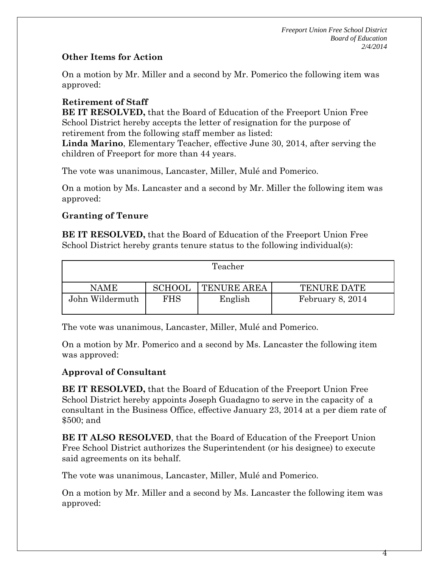# **Other Items for Action**

On a motion by Mr. Miller and a second by Mr. Pomerico the following item was approved:

### **Retirement of Staff**

**BE IT RESOLVED,** that the Board of Education of the Freeport Union Free School District hereby accepts the letter of resignation for the purpose of retirement from the following staff member as listed:

**Linda Marino**, Elementary Teacher, effective June 30, 2014, after serving the children of Freeport for more than 44 years.

The vote was unanimous, Lancaster, Miller, Mulé and Pomerico.

On a motion by Ms. Lancaster and a second by Mr. Miller the following item was approved:

### **Granting of Tenure**

**BE IT RESOLVED,** that the Board of Education of the Freeport Union Free School District hereby grants tenure status to the following individual(s):

| Teacher         |               |                    |                    |
|-----------------|---------------|--------------------|--------------------|
| <b>NAME</b>     | <b>SCHOOL</b> | <b>TENURE AREA</b> | <b>TENURE DATE</b> |
| John Wildermuth | FHS           | English            | February 8, 2014   |

The vote was unanimous, Lancaster, Miller, Mulé and Pomerico.

On a motion by Mr. Pomerico and a second by Ms. Lancaster the following item was approved:

#### **Approval of Consultant**

**BE IT RESOLVED,** that the Board of Education of the Freeport Union Free School District hereby appoints Joseph Guadagno to serve in the capacity of a consultant in the Business Office, effective January 23, 2014 at a per diem rate of \$500; and

**BE IT ALSO RESOLVED**, that the Board of Education of the Freeport Union Free School District authorizes the Superintendent (or his designee) to execute said agreements on its behalf.

The vote was unanimous, Lancaster, Miller, Mulé and Pomerico.

On a motion by Mr. Miller and a second by Ms. Lancaster the following item was approved: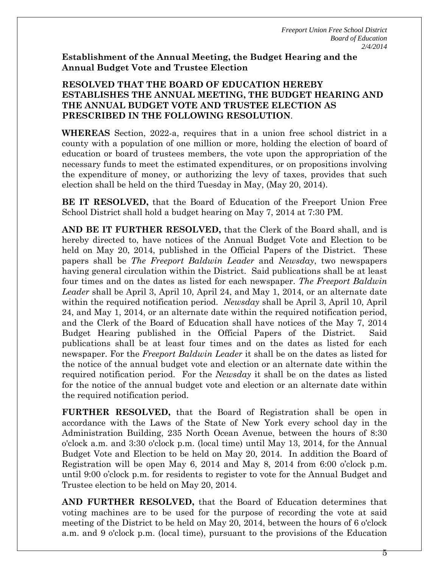**Establishment of the Annual Meeting, the Budget Hearing and the Annual Budget Vote and Trustee Election**

### **RESOLVED THAT THE BOARD OF EDUCATION HEREBY ESTABLISHES THE ANNUAL MEETING, THE BUDGET HEARING AND THE ANNUAL BUDGET VOTE AND TRUSTEE ELECTION AS PRESCRIBED IN THE FOLLOWING RESOLUTION**.

**WHEREAS** Section, 2022-a, requires that in a union free school district in a county with a population of one million or more, holding the election of board of education or board of trustees members, the vote upon the appropriation of the necessary funds to meet the estimated expenditures, or on propositions involving the expenditure of money, or authorizing the levy of taxes, provides that such election shall be held on the third Tuesday in May, (May 20, 2014).

**BE IT RESOLVED,** that the Board of Education of the Freeport Union Free School District shall hold a budget hearing on May 7, 2014 at 7:30 PM.

**AND BE IT FURTHER RESOLVED,** that the Clerk of the Board shall, and is hereby directed to, have notices of the Annual Budget Vote and Election to be held on May 20, 2014, published in the Official Papers of the District. These papers shall be *The Freeport Baldwin Leader* and *Newsday*, two newspapers having general circulation within the District. Said publications shall be at least four times and on the dates as listed for each newspaper. *The Freeport Baldwin Leader* shall be April 3, April 10, April 24, and May 1, 2014, or an alternate date within the required notification period. *Newsday* shall be April 3, April 10, April 24, and May 1, 2014, or an alternate date within the required notification period, and the Clerk of the Board of Education shall have notices of the May 7, 2014 Budget Hearing published in the Official Papers of the District. Said publications shall be at least four times and on the dates as listed for each newspaper. For the *Freeport Baldwin Leader* it shall be on the dates as listed for the notice of the annual budget vote and election or an alternate date within the required notification period. For the *Newsday* it shall be on the dates as listed for the notice of the annual budget vote and election or an alternate date within the required notification period.

**FURTHER RESOLVED,** that the Board of Registration shall be open in accordance with the Laws of the State of New York every school day in the Administration Building, 235 North Ocean Avenue, between the hours of 8:30 o'clock a.m. and 3:30 o'clock p.m. (local time) until May 13, 2014, for the Annual Budget Vote and Election to be held on May 20, 2014. In addition the Board of Registration will be open May 6, 2014 and May 8, 2014 from 6:00 o'clock p.m. until 9:00 o'clock p.m. for residents to register to vote for the Annual Budget and Trustee election to be held on May 20, 2014.

**AND FURTHER RESOLVED,** that the Board of Education determines that voting machines are to be used for the purpose of recording the vote at said meeting of the District to be held on May 20, 2014, between the hours of 6 o'clock a.m. and 9 o'clock p.m. (local time), pursuant to the provisions of the Education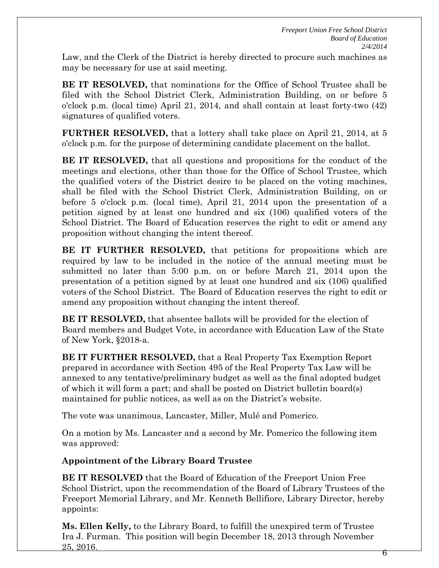Law, and the Clerk of the District is hereby directed to procure such machines as may be necessary for use at said meeting.

**BE IT RESOLVED,** that nominations for the Office of School Trustee shall be filed with the School District Clerk, Administration Building, on or before 5 o'clock p.m. (local time) April 21, 2014, and shall contain at least forty-two (42) signatures of qualified voters.

**FURTHER RESOLVED,** that a lottery shall take place on April 21, 2014, at 5 o'clock p.m. for the purpose of determining candidate placement on the ballot.

**BE IT RESOLVED,** that all questions and propositions for the conduct of the meetings and elections, other than those for the Office of School Trustee, which the qualified voters of the District desire to be placed on the voting machines, shall be filed with the School District Clerk, Administration Building, on or before 5 o'clock p.m. (local time), April 21, 2014 upon the presentation of a petition signed by at least one hundred and six (106) qualified voters of the School District. The Board of Education reserves the right to edit or amend any proposition without changing the intent thereof.

**BE IT FURTHER RESOLVED,** that petitions for propositions which are required by law to be included in the notice of the annual meeting must be submitted no later than 5:00 p.m. on or before March 21, 2014 upon the presentation of a petition signed by at least one hundred and six (106) qualified voters of the School District. The Board of Education reserves the right to edit or amend any proposition without changing the intent thereof.

**BE IT RESOLVED,** that absentee ballots will be provided for the election of Board members and Budget Vote, in accordance with Education Law of the State of New York, §2018-a.

**BE IT FURTHER RESOLVED,** that a Real Property Tax Exemption Report prepared in accordance with Section 495 of the Real Property Tax Law will be annexed to any tentative/preliminary budget as well as the final adopted budget of which it will form a part; and shall be posted on District bulletin board(s) maintained for public notices, as well as on the District's website.

The vote was unanimous, Lancaster, Miller, Mulé and Pomerico.

On a motion by Ms. Lancaster and a second by Mr. Pomerico the following item was approved:

# **Appointment of the Library Board Trustee**

**BE IT RESOLVED** that the Board of Education of the Freeport Union Free School District, upon the recommendation of the Board of Library Trustees of the Freeport Memorial Library, and Mr. Kenneth Bellifiore, Library Director, hereby appoints:

**Ms. Ellen Kelly,** to the Library Board, to fulfill the unexpired term of Trustee Ira J. Furman. This position will begin December 18, 2013 through November  $25, 2016.$  6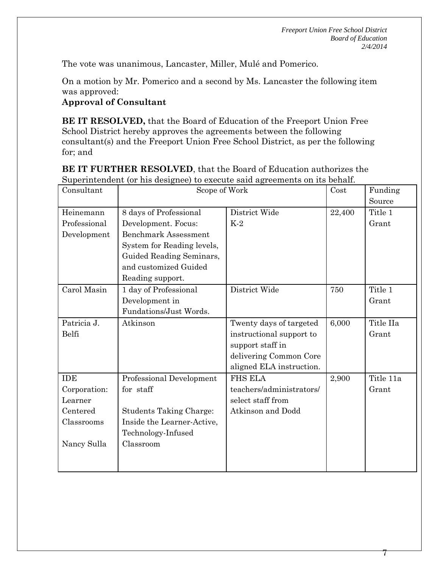*Freeport Union Free School District Board of Education 2/4/2014*

7

The vote was unanimous, Lancaster, Miller, Mulé and Pomerico.

On a motion by Mr. Pomerico and a second by Ms. Lancaster the following item was approved:

### **Approval of Consultant**

**BE IT RESOLVED,** that the Board of Education of the Freeport Union Free School District hereby approves the agreements between the following consultant(s) and the Freeport Union Free School District, as per the following for; and

| BE IT FURTHER RESOLVED, that the Board of Education authorizes the         |
|----------------------------------------------------------------------------|
| Superintendent (or his designee) to execute said agreements on its behalf. |

| Consultant   | Scope of Work                  |                          | Cost   | Funding   |
|--------------|--------------------------------|--------------------------|--------|-----------|
|              |                                |                          |        | Source    |
| Heinemann    | 8 days of Professional         | District Wide            | 22,400 | Title 1   |
| Professional | Development. Focus:            | $K-2$                    |        | Grant     |
| Development  | <b>Benchmark Assessment</b>    |                          |        |           |
|              | System for Reading levels,     |                          |        |           |
|              | Guided Reading Seminars,       |                          |        |           |
|              | and customized Guided          |                          |        |           |
|              | Reading support.               |                          |        |           |
| Carol Masin  | 1 day of Professional          | District Wide            | 750    | Title 1   |
|              | Development in                 |                          |        | Grant     |
|              | Fundations/Just Words.         |                          |        |           |
| Patricia J.  | Atkinson                       | Twenty days of targeted  | 6,000  | Title IIa |
| Belfi        |                                | instructional support to |        | Grant     |
|              |                                | support staff in         |        |           |
|              |                                | delivering Common Core   |        |           |
|              |                                | aligned ELA instruction. |        |           |
| <b>IDE</b>   | Professional Development       | <b>FHS ELA</b>           | 2,900  | Title 11a |
| Corporation: | for staff                      | teachers/administrators/ |        | Grant     |
| Learner      |                                | select staff from        |        |           |
| Centered     | <b>Students Taking Charge:</b> | Atkinson and Dodd        |        |           |
| Classrooms   | Inside the Learner-Active,     |                          |        |           |
|              | Technology-Infused             |                          |        |           |
| Nancy Sulla  | Classroom                      |                          |        |           |
|              |                                |                          |        |           |
|              |                                |                          |        |           |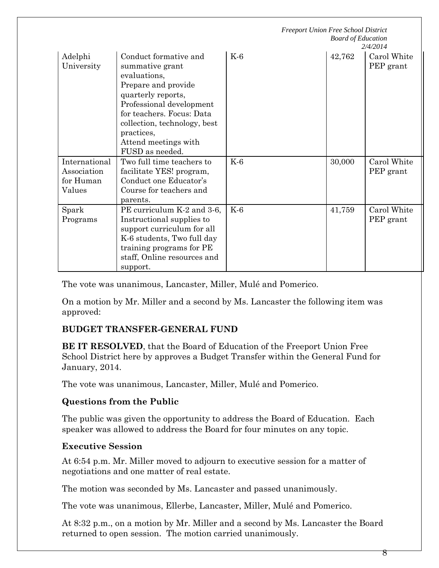|                                                     |                                                                                                                                                                                                                                                         | <b>Freeport Union Free School District</b><br><b>Board of Education</b><br>2/4/2014 |        |                          |
|-----------------------------------------------------|---------------------------------------------------------------------------------------------------------------------------------------------------------------------------------------------------------------------------------------------------------|-------------------------------------------------------------------------------------|--------|--------------------------|
| Adelphi<br>University                               | Conduct formative and<br>summative grant<br>evaluations,<br>Prepare and provide<br>quarterly reports,<br>Professional development<br>for teachers. Focus: Data<br>collection, technology, best<br>practices,<br>Attend meetings with<br>FUSD as needed. | $K-6$                                                                               | 42,762 | Carol White<br>PEP grant |
| International<br>Association<br>for Human<br>Values | Two full time teachers to<br>facilitate YES! program,<br>Conduct one Educator's<br>Course for teachers and<br>parents.                                                                                                                                  | $K-6$                                                                               | 30,000 | Carol White<br>PEP grant |
| Spark<br>Programs                                   | PE curriculum K-2 and 3-6,<br>Instructional supplies to<br>support curriculum for all<br>K-6 students, Two full day<br>training programs for PE<br>staff, Online resources and<br>support.                                                              | $K-6$                                                                               | 41,759 | Carol White<br>PEP grant |

The vote was unanimous, Lancaster, Miller, Mulé and Pomerico.

On a motion by Mr. Miller and a second by Ms. Lancaster the following item was approved:

# **BUDGET TRANSFER-GENERAL FUND**

**BE IT RESOLVED**, that the Board of Education of the Freeport Union Free School District here by approves a Budget Transfer within the General Fund for January, 2014.

The vote was unanimous, Lancaster, Miller, Mulé and Pomerico.

#### **Questions from the Public**

The public was given the opportunity to address the Board of Education. Each speaker was allowed to address the Board for four minutes on any topic.

#### **Executive Session**

At 6:54 p.m. Mr. Miller moved to adjourn to executive session for a matter of negotiations and one matter of real estate.

The motion was seconded by Ms. Lancaster and passed unanimously.

The vote was unanimous, Ellerbe, Lancaster, Miller, Mulé and Pomerico.

At 8:32 p.m., on a motion by Mr. Miller and a second by Ms. Lancaster the Board returned to open session. The motion carried unanimously.